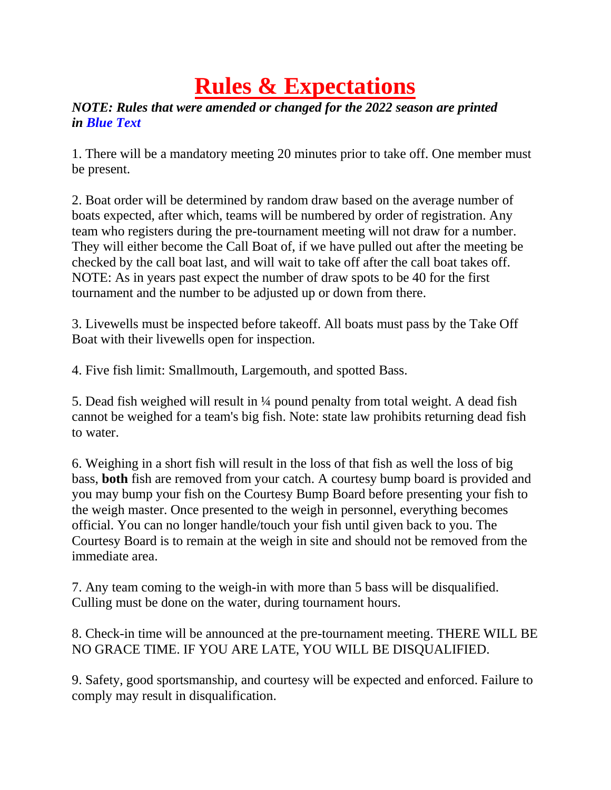## **Rules & Expectations**

## *NOTE: Rules that were amended or changed for the 2022 season are printed in Blue Text*

1. There will be a mandatory meeting 20 minutes prior to take off. One member must be present.

2. Boat order will be determined by random draw based on the average number of boats expected, after which, teams will be numbered by order of registration. Any team who registers during the pre-tournament meeting will not draw for a number. They will either become the Call Boat of, if we have pulled out after the meeting be checked by the call boat last, and will wait to take off after the call boat takes off. NOTE: As in years past expect the number of draw spots to be 40 for the first tournament and the number to be adjusted up or down from there.

3. Livewells must be inspected before takeoff. All boats must pass by the Take Off Boat with their livewells open for inspection.

4. Five fish limit: Smallmouth, Largemouth, and spotted Bass.

5. Dead fish weighed will result in ¼ pound penalty from total weight. A dead fish cannot be weighed for a team's big fish. Note: state law prohibits returning dead fish to water.

6. Weighing in a short fish will result in the loss of that fish as well the loss of big bass, **both** fish are removed from your catch. A courtesy bump board is provided and you may bump your fish on the Courtesy Bump Board before presenting your fish to the weigh master. Once presented to the weigh in personnel, everything becomes official. You can no longer handle/touch your fish until given back to you. The Courtesy Board is to remain at the weigh in site and should not be removed from the immediate area.

7. Any team coming to the weigh-in with more than 5 bass will be disqualified. Culling must be done on the water, during tournament hours.

8. Check-in time will be announced at the pre-tournament meeting. THERE WILL BE NO GRACE TIME. IF YOU ARE LATE, YOU WILL BE DISQUALIFIED.

9. Safety, good sportsmanship, and courtesy will be expected and enforced. Failure to comply may result in disqualification.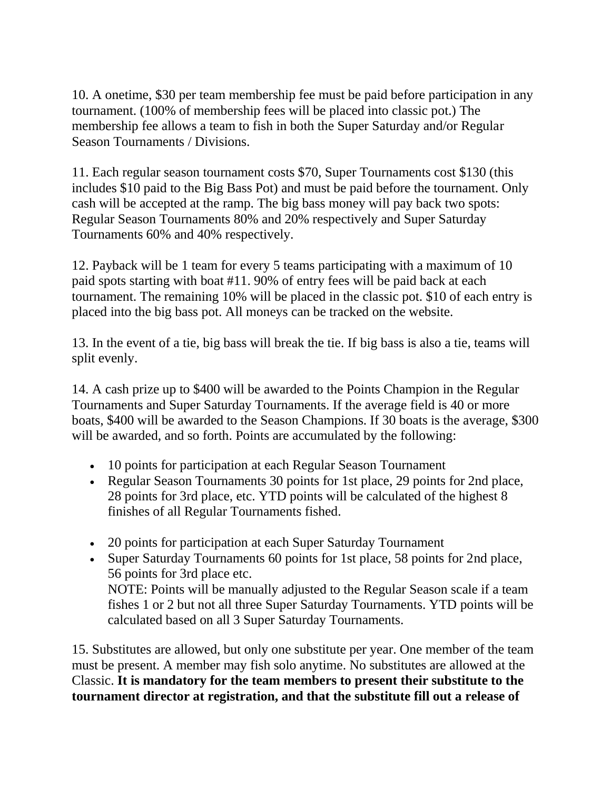10. A onetime, \$30 per team membership fee must be paid before participation in any tournament. (100% of membership fees will be placed into classic pot.) The membership fee allows a team to fish in both the Super Saturday and/or Regular Season Tournaments / Divisions.

11. Each regular season tournament costs \$70, Super Tournaments cost \$130 (this includes \$10 paid to the Big Bass Pot) and must be paid before the tournament. Only cash will be accepted at the ramp. The big bass money will pay back two spots: Regular Season Tournaments 80% and 20% respectively and Super Saturday Tournaments 60% and 40% respectively.

12. Payback will be 1 team for every 5 teams participating with a maximum of 10 paid spots starting with boat #11. 90% of entry fees will be paid back at each tournament. The remaining 10% will be placed in the classic pot. \$10 of each entry is placed into the big bass pot. All moneys can be tracked on the website.

13. In the event of a tie, big bass will break the tie. If big bass is also a tie, teams will split evenly.

14. A cash prize up to \$400 will be awarded to the Points Champion in the Regular Tournaments and Super Saturday Tournaments. If the average field is 40 or more boats, \$400 will be awarded to the Season Champions. If 30 boats is the average, \$300 will be awarded, and so forth. Points are accumulated by the following:

- 10 points for participation at each Regular Season Tournament
- Regular Season Tournaments 30 points for 1st place, 29 points for 2nd place, 28 points for 3rd place, etc. YTD points will be calculated of the highest 8 finishes of all Regular Tournaments fished.
- 20 points for participation at each Super Saturday Tournament
- Super Saturday Tournaments 60 points for 1st place, 58 points for 2nd place, 56 points for 3rd place etc. NOTE: Points will be manually adjusted to the Regular Season scale if a team fishes 1 or 2 but not all three Super Saturday Tournaments. YTD points will be calculated based on all 3 Super Saturday Tournaments.

15. Substitutes are allowed, but only one substitute per year. One member of the team must be present. A member may fish solo anytime. No substitutes are allowed at the Classic. **It is mandatory for the team members to present their substitute to the tournament director at registration, and that the substitute fill out a release of**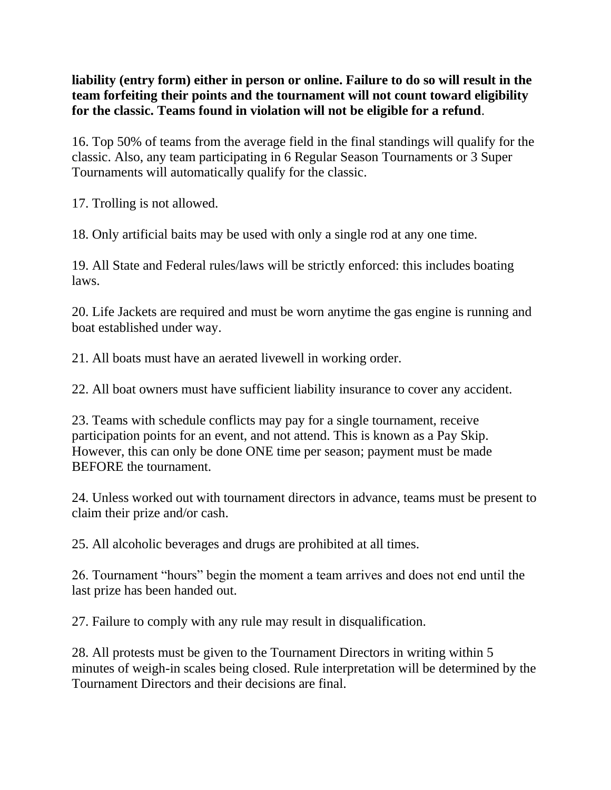**liability (entry form) either in person or online. Failure to do so will result in the team forfeiting their points and the tournament will not count toward eligibility for the classic. Teams found in violation will not be eligible for a refund**.

16. Top 50% of teams from the average field in the final standings will qualify for the classic. Also, any team participating in 6 Regular Season Tournaments or 3 Super Tournaments will automatically qualify for the classic.

17. Trolling is not allowed.

18. Only artificial baits may be used with only a single rod at any one time.

19. All State and Federal rules/laws will be strictly enforced: this includes boating laws.

20. Life Jackets are required and must be worn anytime the gas engine is running and boat established under way.

21. All boats must have an aerated livewell in working order.

22. All boat owners must have sufficient liability insurance to cover any accident.

23. Teams with schedule conflicts may pay for a single tournament, receive participation points for an event, and not attend. This is known as a Pay Skip. However, this can only be done ONE time per season; payment must be made BEFORE the tournament.

24. Unless worked out with tournament directors in advance, teams must be present to claim their prize and/or cash.

25. All alcoholic beverages and drugs are prohibited at all times.

26. Tournament "hours" begin the moment a team arrives and does not end until the last prize has been handed out.

27. Failure to comply with any rule may result in disqualification.

28. All protests must be given to the Tournament Directors in writing within 5 minutes of weigh-in scales being closed. Rule interpretation will be determined by the Tournament Directors and their decisions are final.